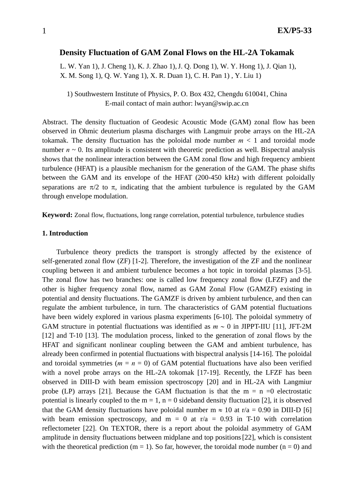# **Density Fluctuation of GAM Zonal Flows on the HL-2A Tokamak**

L. W. Yan 1), J. Cheng 1), K. J. Zhao 1),J. Q. Dong 1), W. Y. Hong 1), J. Qian 1), X. M. Song 1), Q. W. Yang 1), X. R. Duan 1), C. H. Pan 1) , Y. Liu 1)

1) Southwestern Institute of Physics, P. O. Box 432, Chengdu 610041, China E-mail contact of main author: lwyan@swip.ac.cn

Abstract. The density fluctuation of Geodesic Acoustic Mode (GAM) zonal flow has been observed in Ohmic deuterium plasma discharges with Langmuir probe arrays on the HL-2A tokamak. The density fluctuation has the poloidal mode number  $m < 1$  and toroidal mode number  $n \sim 0$ . Its amplitude is consistent with theoretic prediction as well. Bispectral analysis shows that the nonlinear interaction between the GAM zonal flow and high frequency ambient turbulence (HFAT) is a plausible mechanism for the generation of the GAM. The phase shifts between the GAM and its envelope of the HFAT (200-450 kHz) with different poloidally separations are  $\pi/2$  to  $\pi$ , indicating that the ambient turbulence is regulated by the GAM through envelope modulation.

**Keyword:** Zonal flow, fluctuations, long range correlation, potential turbulence, turbulence studies

### **1. Introduction**

Turbulence theory predicts the transport is strongly affected by the existence of self-generated zonal flow (ZF) [1-2]. Therefore, the investigation of the ZF and the nonlinear coupling between it and ambient turbulence becomes a hot topic in toroidal plasmas [3-5]. The zonal flow has two branches: one is called low frequency zonal flow (LFZF) and the other is higher frequency zonal flow, named as GAM Zonal Flow (GAMZF) existing in potential and density fluctuations. The GAMZF is driven by ambient turbulence, and then can regulate the ambient turbulence, in turn. The characteristics of GAM potential fluctuations have been widely explored in various plasma experiments [6-10]. The poloidal symmetry of GAM structure in potential fluctuations was identified as *m* ∼ 0 in JIPPT-IIU [11], JFT-2M [12] and T-10 [13]. The modulation process, linked to the generation of zonal flows by the HFAT and significant nonlinear coupling between the GAM and ambient turbulence, has already been confirmed in potential fluctuations with bispectral analysis [14-16]. The poloidal and toroidal symmetries ( $m = n = 0$ ) of GAM potential fluctuations have also been verified with a novel probe arrays on the HL-2A tokomak [17-19]. Recently, the LFZF has been observed in DIII-D with beam emission spectroscopy [20] and in HL-2A with Langmiur probe (LP) arrays [21]. Because the GAM fluctuation is that the  $m = n =0$  electrostatic potential is linearly coupled to the  $m = 1$ ,  $n = 0$  sideband density fluctuation [2], it is observed that the GAM density fluctuations have poloidal number m  $\approx 10$  at r/a = 0.90 in DIII-D [6] with beam emission spectroscopy, and  $m = 0$  at r/a = 0.93 in T-10 with correlation reflectometer [22]. On TEXTOR, there is a report about the poloidal asymmetry of GAM amplitude in density fluctuations between midplane and top positions[22], which is consistent with the theoretical prediction ( $m = 1$ ). So far, however, the toroidal mode number ( $n = 0$ ) and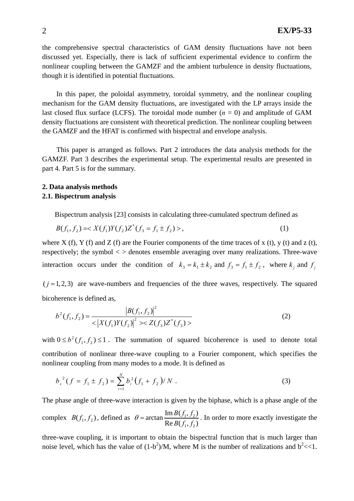the comprehensive spectral characteristics of GAM density fluctuations have not been discussed yet. Especially, there is lack of sufficient experimental evidence to confirm the nonlinear coupling between the GAMZF and the ambient turbulence in density fluctuations, though it is identified in potential fluctuations.

In this paper, the poloidal asymmetry, toroidal symmetry, and the nonlinear coupling mechanism for the GAM density fluctuations, are investigated with the LP arrays inside the last closed flux surface (LCFS). The toroidal mode number  $(n = 0)$  and amplitude of GAM density fluctuations are consistent with theoretical prediction. The nonlinear coupling between the GAMZF and the HFAT is confirmed with bispectral and envelope analysis.

This paper is arranged as follows. Part 2 introduces the data analysis methods for the GAMZF. Part 3 describes the experimental setup. The experimental results are presented in part 4. Part 5 is for the summary.

# **2. Data analysis methods 2.1. Bispectrum analysis**

Bispectrum analysis [23] consists in calculating three-cumulated spectrum defined as

$$
B(f_1, f_2) = \langle X(f_1)Y(f_2)Z^*(f_3 = f_1 \pm f_2) \rangle, \tag{1}
$$

where X (f), Y (f) and Z (f) are the Fourier components of the time traces of x (t), y (t) and z (t), respectively; the symbol  $\langle \rangle$  denotes ensemble averaging over many realizations. Three-wave interaction occurs under the condition of  $k_3 = k_1 \pm k_2$  and  $f_3 = f_1 \pm f_2$ , where  $k_j$  and  $f_j$ 

 $(j=1,2,3)$  are wave-numbers and frequencies of the three waves, respectively. The squared bicoherence is defined as,

$$
b^{2}(f_{1}, f_{2}) = \frac{|B(f_{1}, f_{2})|^{2}}{\langle X(f_{1})Y(f_{2})|^{2} \rangle \langle Z(f_{3})Z^{*}(f_{3}) \rangle}
$$
\n(2)

with  $0 \le b^2(f_1, f_2) \le 1$ . The summation of squared bicoherence is used to denote total contribution of nonlinear three-wave coupling to a Fourier component, which specifies the nonlinear coupling from many modes to a mode. It is defined as

$$
b_s^2(f = f_1 \pm f_2) = \sum_{i=1}^N b_i^2 (f_1 + f_2) / N . \tag{3}
$$

The phase angle of three-wave interaction is given by the biphase, which is a phase angle of the complex  $B(f_1, f_2)$ , defined as  $\theta = \arctan \frac{\ln B(f_1, f_2)}{B_1 B(f_1, f_2)}$  $1, J_2$  $\lim_{t \to \infty} \frac{\text{Im } B(f_1, f_2)}{1 - \sum_{i=1}^{n} a_i}$  $\text{Re } B(f_1, f_2)$  $B(f_1, f_2)$  $B(f_1, f_2)$  $\theta$  = arctan  $\frac{\text{Im } B(y_1, y_2)}{\sqrt{2\pi} \sqrt{2}}$ . In order to more exactly investigate the

three-wave coupling, it is important to obtain the bispectral function that is much larger than noise level, which has the value of  $(1-b^2)/M$ , where M is the number of realizations and  $b<sup>2</sup><1$ .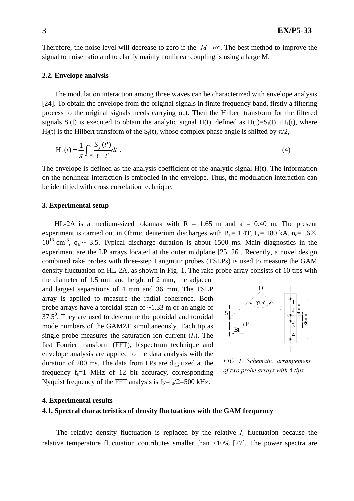Therefore, the noise level will decrease to zero if the *M*→∞. The best method to improve the signal to noise ratio and to clarify mainly nonlinear coupling is using a large M.

#### **2.2. Envelope analysis**

The modulation interaction among three waves can be characterized with envelope analysis [24]. To obtain the envelope from the original signals in finite frequency band, firstly a filtering process to the original signals needs carrying out. Then the Hilbert transform for the filtered signals  $S_f(t)$  is executed to obtain the analytic signal H(t), defined as H(t)= $S_f(t)+iH_f(t)$ , where H<sub>f</sub>(t) is the Hilbert transform of the S<sub>f</sub>(t), whose complex phase angle is shifted by  $\pi/2$ ,

$$
H_f(t) = \frac{1}{\pi} \int_{-\infty}^{\infty} \frac{S_f(t')}{t - t'} dt'.
$$
 (4)

The envelope is defined as the analysis coefficient of the analytic signal H(t). The information on the nonlinear interaction is embodied in the envelope. Thus, the modulation interaction can be identified with cross correlation technique.

# **3. Experimental setup**

HL-2A is a medium-sized tokamak with  $R = 1.65$  m and a = 0.40 m. The present experiment is carried out in Ohmic deuterium discharges with  $B_t = 1.4T$ ,  $I_p = 180$  kA, n<sub>e</sub>=1.6×  $10^{13}$  cm<sup>-3</sup>, q<sub>a</sub> ~ 3.5. Typical discharge duration is about 1500 ms. Main diagnostics in the experiment are the LP arrays located at the outer midplane [25, 26]. Recently, a novel design combined rake probes with three-step Langmuir probes (TSLPs) is used to measure the GAM density fluctuation on HL-2A, as shown in Fig. 1. The rake probe array consists of 10 tips with the diameter of 1.5 mm and height of 2 mm, the adjacent

and largest separations of 4 mm and 36 mm. The TSLP array is applied to measure the radial coherence. Both probe arrays have a toroidal span of ~1.33 m or an angle of  $37.5^{\circ}$ . They are used to determine the poloidal and toroidal mode numbers of the GAMZF simultaneously. Each tip as single probe measures the saturation ion current  $(I_s)$ . The fast Fourier transform (FFT), bispectrum technique and envelope analysis are applied to the data analysis with the duration of 200 ms. The data from LPs are digitized at the frequency  $f_s = 1$  MHz of 12 bit accuracy, corresponding Nyquist frequency of the FFT analysis is  $f_N = f_s/2 = 500$  kHz.



*FIG. 1. Schematic arrangement of two probe arrays with 5 tips* 

#### **4. Experimental results**

# **4.1. Spectral characteristics of density fluctuations with the GAM frequency**

The relative density fluctuation is replaced by the relative *Is* fluctuation because the relative temperature fluctuation contributes smaller than <10% [27]. The power spectra are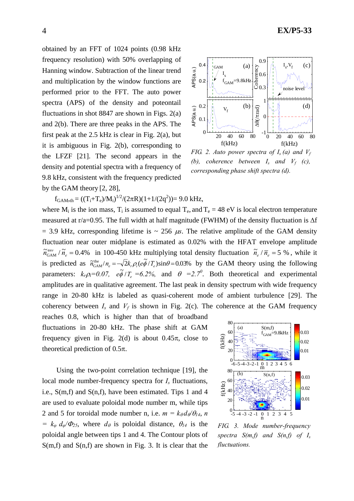obtained by an FFT of 1024 points (0.98 kHz frequency resolution) with 50% overlapping of Hanning window. Subtraction of the linear trend and multiplication by the window functions are performed prior to the FFT. The auto power spectra (APS) of the density and poteontail fluctuations in shot  $8847$  are shown in Figs.  $2(a)$ and 2(b). There are three peaks in the APS. The first peak at the 2.5 kHz is clear in Fig. 2(a), but it is ambiguous in Fig. 2(b), corresponding to the LFZF [21]. The second appears in the density and potential spectra with a frequency of 9.8 kHz, consistent with the frequency predicted by the GAM theory [2, 28],



*FIG. 2. Auto power spectra of*  $I_s(a)$  *and*  $V_f$ *(b), coherence between*  $I_s$  *and*  $V_f$  *(c), corresponding phase shift spectra (d).* 

 $f_{\text{GAM,th}} = ((T_i + T_e)/M_i)^{1/2}/(2\pi R)(1 + 1/(2q^2)) = 9.0 \text{ kHz},$ 

where  $M_i$  is the ion mass,  $T_i$  is assumed to equal  $T_e$ , and  $T_e = 48$  eV is local electron temperature measured at r/a=0.95. The full width at half magnitude (FWHM) of the density fluctuation is Δf  $= 3.9$  kHz, corresponding lifetime is  $\sim 256 \mu s$ . The relative amplitude of the GAM density fluctuation near outer midplane is estimated as 0.02% with the HFAT envelope amplitude  $\widetilde{n}_{GAM}^{em}$  /  $\widetilde{n}_e = 0.4\%$  in 100-450 kHz multiplying total density fluctuation  $\widetilde{n}_e / \overline{n}_e = 5\%$ , while it is predicted as  $\tilde{n}_{\text{GAM}}^{\text{the}}/n_e = -\sqrt{2}k_r\rho_i(e\tilde{\phi}/T_e)\sin\theta = 0.03\%$  by the GAM theory using the following parameters:  $k_r \rho_i = 0.07$ ,  $e\phi / T_e = 6.2\%$ , and  $\theta = 2.7^\circ$ . Both theoretical and experimental amplitudes are in qualitative agreement. The last peak in density spectrum with wide frequency range in 20-80 kHz is labeled as quasi-coherent mode of ambient turbulence [29]. The coherency between  $I_s$  and  $V_f$  is shown in Fig. 2(c). The coherence at the GAM frequency

reaches 0.8, which is higher than that of broadband fluctuations in 20-80 kHz. The phase shift at GAM frequency given in Fig. 2(d) is about  $0.45\pi$ , close to theoretical prediction of  $0.5\pi$ .

Using the two-point correlation technique [19], the local mode number-frequency spectra for  $I_s$  fluctuations, i.e.,  $S(m,f)$  and  $S(n,f)$ , have been estimated. Tips 1 and 4 are used to evaluate poloidal mode number m, while tips 2 and 5 for toroidal mode number n, i.e.  $m = k_{\theta} d_{\theta} / \theta_{14}$ , *n = k<sub>φ</sub>*  $d_{\varphi}/\Phi_{25}$ , where  $d_{\theta}$  is poloidal distance,  $\theta_{14}$  is the poloidal angle between tips 1 and 4. The Contour plots of  $S(m,f)$  and  $S(n,f)$  are shown in Fig. 3. It is clear that the



*FIG. 3. Mode number-frequency spectra S(m,f) and S(n,f) of Is fluctuations.*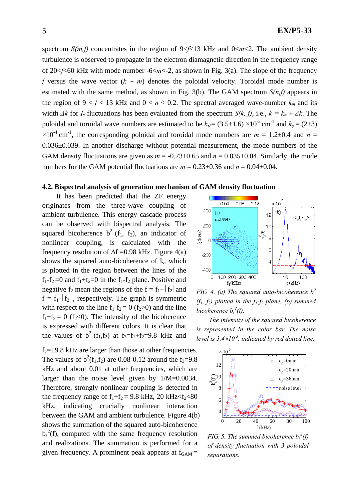spectrum  $S(m, f)$  concentrates in the region of  $9 \le f \le 13$  kHz and  $0 \le m \le 2$ . The ambient density turbulence is observed to propagate in the electron diamagnetic direction in the frequency range of 20<*f*<60 kHz with mode number -6<*m*<-2, as shown in Fig. 3(a). The slope of the frequency *f* versus the wave vector (*k* ∼ *m*) denotes the poloidal velocity. Toroidal mode number is estimated with the same method, as shown in Fig. 3(b). The GAM spectrum *S(n,f)* appears in the region of  $9 < f < 13$  kHz and  $0 < n < 0.2$ . The spectral averaged wave-number  $k_m$  and its width  $\Delta k$  for  $I_s$  fluctuations has been evaluated from the spectrum  $S(k, f)$ , i.e.,  $k = k_m \pm \Delta k$ . The poloidal and toroidal wave numbers are estimated to be  $k_{\theta} = (3.5 \pm 1.6) \times 10^{-2}$  cm<sup>-1</sup> and  $k_{\phi} = (2 \pm 3)$  $\times 10^{-4}$  cm<sup>-1</sup>, the corresponding poloidal and toroidal mode numbers are  $m = 1.2 \pm 0.4$  and  $n =$ 0.036±0.039. In another discharge without potential measurement, the mode numbers of the GAM density fluctuations are given as  $m = -0.73 \pm 0.65$  and  $n = 0.035 \pm 0.04$ . Similarly, the mode numbers for the GAM potential fluctuations are  $m = 0.23 \pm 0.36$  and  $n = 0.04 \pm 0.04$ .

### **4.2. Bispectral analysis of generation mechanism of GAM density fluctuation**

It has been predicted that the ZF energy originates from the three-wave coupling of ambient turbulence. This energy cascade process can be observed with bispectral analysis. The squared bicoherence  $b^2$  (f<sub>1</sub>, f<sub>2</sub>), an indicator of nonlinear coupling, is calculated with the frequency resolution of  $\Delta f = 0.98$  kHz. Figure 4(a) shows the squared auto-bicoherence of Is, which is plotted in the region between the lines of the  $f_1-f_2=0$  and  $f_1+f_2=0$  in the  $f_1-f_2$  plane. Positive and negative  $f_2$  mean the regions of the  $f = f_1 + |f_2|$  and  $f = f_1 - |f_2|$ , respectively. The graph is symmetric with respect to the line  $f_1 - f_2 = 0$  ( $f_2 > 0$ ) and the line  $f_1+f_2 = 0$  ( $f_2<0$ ). The intensity of the bicoherence is expressed with different colors. It is clear that the values of  $b^2$  (f<sub>1</sub>,f<sub>2</sub>) at f<sub>3</sub>=f<sub>1</sub>+f<sub>2</sub>=9.8 kHz and

 $f_2=\pm 9.8$  kHz are larger than those at other frequencies. The values of  $b^2(f_1, f_2)$  are 0.08-0.12 around the f<sub>3</sub>=9.8 kHz and about 0.01 at other frequencies, which are larger than the noise level given by 1/M=0.0034. Therefore, strongly nonlinear coupling is detected in the frequency range of  $f_1+f_2 = 9.8$  kHz, 20 kHz < $f_2$  < 80 kHz, indicating crucially nonlinear interaction between the GAM and ambient turbulence. Figure 4(b) shows the summation of the squared auto-bicoherence  $b_s^2(f)$ , computed with the same frequency resolution and realizations. The summation is performed for a given frequency. A prominent peak appears at  $f_{GAM}$  =



*FIG. 4. (a) The squared auto-bicoherence b<sup>2</sup>*  $(f_1, f_2)$  plotted in the  $f_1-f_2$  plane, (b) summed *bicoherence*  $b_s^2(f)$ .

*The intensity of the squared bicoherence is represented in the color bar. The noise level is 3.4*×*10-3, indicated by red dotted line.*



*FIG.* 5. The summed bicoherence  $b_s^2(f)$ *of density fluctuation with 3 poloidal separations.*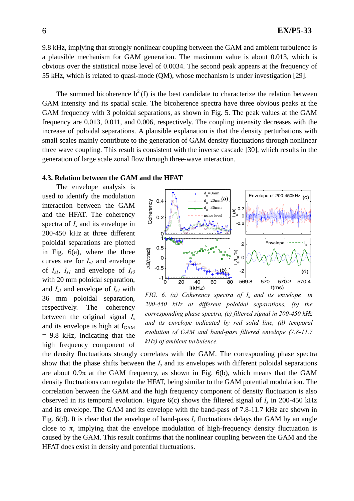9.8 kHz, implying that strongly nonlinear coupling between the GAM and ambient turbulence is a plausible mechanism for GAM generation. The maximum value is about 0.013, which is obvious over the statistical noise level of 0.0034. The second peak appears at the frequency of 55 kHz, which is related to quasi-mode (QM), whose mechanism is under investigation [29].

The summed bicoherence  $b^2(f)$  is the best candidate to characterize the relation between GAM intensity and its spatial scale. The bicoherence spectra have three obvious peaks at the GAM frequency with 3 poloidal separations, as shown in Fig. 5. The peak values at the GAM frequency are 0.013, 0.011, and 0.006, respectively. The coupling intensity decreases with the increase of poloidal separations. A plausible explanation is that the density perturbations with small scales mainly contribute to the generation of GAM density fluctuations through nonlinear three wave coupling. This result is consistent with the inverse cascade [30], which results in the generation of large scale zonal flow through three-wave interaction.

### **4.3. Relation between the GAM and the HFAT**

The envelope analysis is used to identify the modulation interaction between the GAM and the HFAT. The coherency spectra of *Is* and its envelope in 200-450 kHz at three different poloidal separations are plotted in Fig. 6(a), where the three curves are for  $I_{s1}$  and envelope of *Is1*, *Is1* and envelope of *Is3* with 20 mm poloidal separation, and *Is1* and envelope of *Is4* with 36 mm poloidal separation, respectively. The coherency between the original signal *Is* and its envelope is high at  $f_{GAM}$  $= 9.8$  kHz, indicating that the high frequency component of



*FIG. 6. (a) Coherency spectra of Is and its envelope in 200-450 kHz at different poloidal separations, (b) the corresponding phase spectra, (c) filtered signal in 200-450 kHz and its envelope indicated by red solid line, (d) temporal evolution of GAM and band-pass filtered envelope (7.8-11.7 kHz) of ambient turbulence.* 

the density fluctuations strongly correlates with the GAM. The corresponding phase spectra show that the phase shifts between the *Is* and its envelopes with different poloidal separations are about  $0.9\pi$  at the GAM frequency, as shown in Fig. 6(b), which means that the GAM density fluctuations can regulate the HFAT, being similar to the GAM potential modulation. The correlation between the GAM and the high frequency component of density fluctuation is also observed in its temporal evolution. Figure 6(c) shows the filtered signal of *Is* in 200-450 kHz and its envelope. The GAM and its envelope with the band-pass of 7.8-11.7 kHz are shown in Fig. 6(d). It is clear that the envelope of band-pass *Is* fluctuations delays the GAM by an angle close to  $\pi$ , implying that the envelope modulation of high-frequency density fluctuation is caused by the GAM. This result confirms that the nonlinear coupling between the GAM and the HFAT does exist in density and potential fluctuations.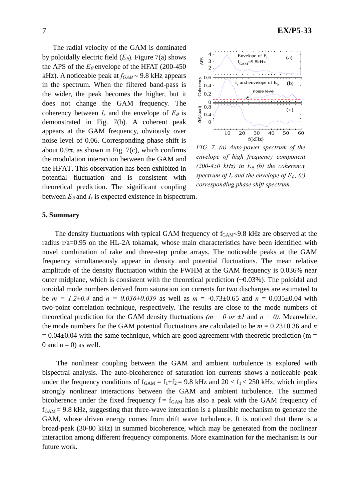The radial velocity of the GAM is dominated by poloidally electric field  $(E_{\theta})$ . Figure 7(a) shows the APS of the  $E_{\theta}$  envelope of the HFAT (200-450) kHz). A noticeable peak at *fGAM* ∼ 9.8 kHz appears in the spectrum. When the filtered band-pass is the wider, the peak becomes the higher, but it does not change the GAM frequency. The coherency between  $I_s$  and the envelope of  $E_{\theta}$  is demonstrated in Fig. 7(b). A coherent peak appears at the GAM frequency, obviously over noise level of 0.06. Corresponding phase shift is about  $0.9\pi$ , as shown in Fig. 7(c), which confirms the modulation interaction between the GAM and the HFAT. This observation has been exhibited in potential fluctuation and is consistent with theoretical prediction. The significant coupling between  $E_{\theta}$  and  $I_s$  is expected existence in bispectrum.



*FIG. 7. (a) Auto-power spectrum of the envelope of high frequency component*   $(200-450 \text{ kHz})$  in  $E_{\theta}$  (b) the coherency *spectrum of I<sub>s</sub> and the envelope of*  $E_{\theta}$ *, (c) corresponding phase shift spectrum.*

#### **5. Summary**

The density fluctuations with typical GAM frequency of  $f_{GAM}$ ∼9.8 kHz are observed at the radius r/a=0.95 on the HL-2A tokamak, whose main characteristics have been identified with novel combination of rake and three-step probe arrays. The noticeable peaks at the GAM frequency simultaneously appear in density and potential fluctuations. The mean relative amplitude of the density fluctuation within the FWHM at the GAM frequency is 0.036% near outer midplane, which is consistent with the theoretical prediction (~0.03%)*.* The poloidal and toroidal mode numbers derived from saturation ion currents for two discharges are estimated to be  $m = 1.2 \pm 0.4$  and  $n = 0.036 \pm 0.039$  as well as  $m = -0.73 \pm 0.65$  and  $n = 0.035 \pm 0.04$  with two-point correlation technique, respectively. The results are close to the mode numbers of theoretical prediction for the GAM density fluctuations  $(m = 0 \text{ or } \pm I \text{ and } n = 0)$ . Meanwhile, the mode numbers for the GAM potential fluctuations are calculated to be  $m = 0.23 \pm 0.36$  and *n*  $= 0.04\pm0.04$  with the same technique, which are good agreement with theoretic prediction (m = 0 and  $n = 0$ ) as well.

The nonlinear coupling between the GAM and ambient turbulence is explored with bispectral analysis. The auto-bicoherence of saturation ion currents shows a noticeable peak under the frequency conditions of  $f_{GAM} = f_1 + f_2 = 9.8$  kHz and  $20 < f_1 < 250$  kHz, which implies strongly nonlinear interactions between the GAM and ambient turbulence. The summed bicoherence under the fixed frequency  $f = f_{GAM}$  has also a peak with the GAM frequency of  $f_{GAM}$  = 9.8 kHz, suggesting that three-wave interaction is a plausible mechanism to generate the GAM, whose driven energy comes from drift wave turbulence. It is noticed that there is a broad-peak (30-80 kHz) in summed bicoherence, which may be generated from the nonlinear interaction among different frequency components. More examination for the mechanism is our future work.